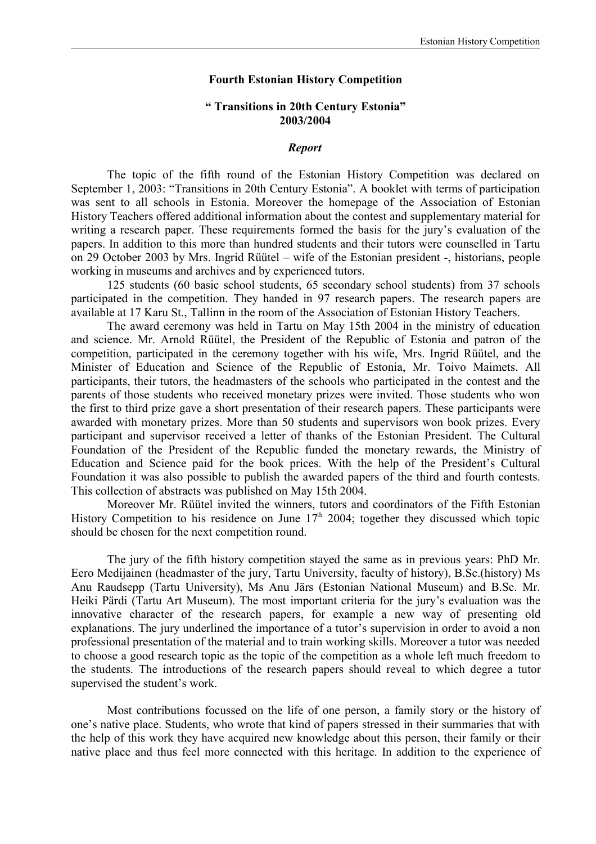## **Fourth Estonian History Competition**

## **" Transitions in 20th Century Estonia" 2003/2004**

## *Report*

The topic of the fifth round of the Estonian History Competition was declared on September 1, 2003: "Transitions in 20th Century Estonia". A booklet with terms of participation was sent to all schools in Estonia. Moreover the homepage of the Association of Estonian History Teachers offered additional information about the contest and supplementary material for writing a research paper. These requirements formed the basis for the jury's evaluation of the papers. In addition to this more than hundred students and their tutors were counselled in Tartu on 29 October 2003 by Mrs. Ingrid Rüütel – wife of the Estonian president -, historians, people working in museums and archives and by experienced tutors.

125 students (60 basic school students, 65 secondary school students) from 37 schools participated in the competition. They handed in 97 research papers. The research papers are available at 17 Karu St., Tallinn in the room of the Association of Estonian History Teachers.

The award ceremony was held in Tartu on May 15th 2004 in the ministry of education and science. Mr. Arnold Rüütel, the President of the Republic of Estonia and patron of the competition, participated in the ceremony together with his wife, Mrs. Ingrid Rüütel, and the Minister of Education and Science of the Republic of Estonia, Mr. Toivo Maimets. All participants, their tutors, the headmasters of the schools who participated in the contest and the parents of those students who received monetary prizes were invited. Those students who won the first to third prize gave a short presentation of their research papers. These participants were awarded with monetary prizes. More than 50 students and supervisors won book prizes. Every participant and supervisor received a letter of thanks of the Estonian President. The Cultural Foundation of the President of the Republic funded the monetary rewards, the Ministry of Education and Science paid for the book prices. With the help of the President's Cultural Foundation it was also possible to publish the awarded papers of the third and fourth contests. This collection of abstracts was published on May 15th 2004.

Moreover Mr. Rüütel invited the winners, tutors and coordinators of the Fifth Estonian History Competition to his residence on June  $17<sup>th</sup>$  2004; together they discussed which topic should be chosen for the next competition round.

The jury of the fifth history competition stayed the same as in previous years: PhD Mr. Eero Medijainen (headmaster of the jury, Tartu University, faculty of history), B.Sc.(history) Ms Anu Raudsepp (Tartu University), Ms Anu Järs (Estonian National Museum) and B.Sc. Mr. Heiki Pärdi (Tartu Art Museum). The most important criteria for the jury's evaluation was the innovative character of the research papers, for example a new way of presenting old explanations. The jury underlined the importance of a tutor's supervision in order to avoid a non professional presentation of the material and to train working skills. Moreover a tutor was needed to choose a good research topic as the topic of the competition as a whole left much freedom to the students. The introductions of the research papers should reveal to which degree a tutor supervised the student's work.

Most contributions focussed on the life of one person, a family story or the history of one's native place. Students, who wrote that kind of papers stressed in their summaries that with the help of this work they have acquired new knowledge about this person, their family or their native place and thus feel more connected with this heritage. In addition to the experience of